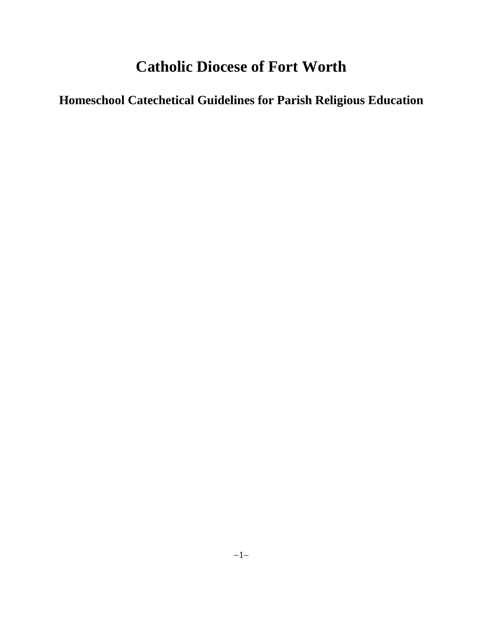## **Catholic Diocese of Fort Worth**

# **Homeschool Catechetical Guidelines for Parish Religious Education**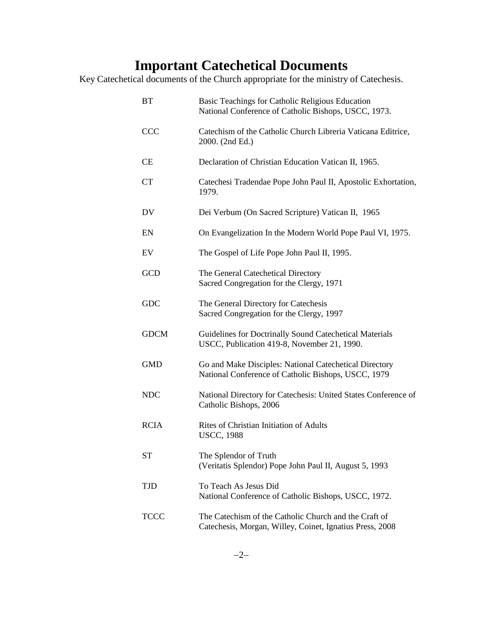## **Important Catechetical Documents**

Key Catechetical documents of the Church appropriate for the ministry of Catechesis.

| BT          | Basic Teachings for Catholic Religious Education<br>National Conference of Catholic Bishops, USCC, 1973.          |
|-------------|-------------------------------------------------------------------------------------------------------------------|
| <b>CCC</b>  | Catechism of the Catholic Church Libreria Vaticana Editrice,<br>2000. (2nd Ed.)                                   |
| CE          | Declaration of Christian Education Vatican II, 1965.                                                              |
| <b>CT</b>   | Catechesi Tradendae Pope John Paul II, Apostolic Exhortation,<br>1979.                                            |
| DV          | Dei Verbum (On Sacred Scripture) Vatican II, 1965                                                                 |
| EN          | On Evangelization In the Modern World Pope Paul VI, 1975.                                                         |
| EV          | The Gospel of Life Pope John Paul II, 1995.                                                                       |
| <b>GCD</b>  | The General Catechetical Directory<br>Sacred Congregation for the Clergy, 1971                                    |
| <b>GDC</b>  | The General Directory for Catechesis<br>Sacred Congregation for the Clergy, 1997                                  |
| <b>GDCM</b> | Guidelines for Doctrinally Sound Catechetical Materials<br>USCC, Publication 419-8, November 21, 1990.            |
| <b>GMD</b>  | Go and Make Disciples: National Catechetical Directory<br>National Conference of Catholic Bishops, USCC, 1979     |
| <b>NDC</b>  | National Directory for Catechesis: United States Conference of<br>Catholic Bishops, 2006                          |
| <b>RCIA</b> | Rites of Christian Initiation of Adults<br><b>USCC, 1988</b>                                                      |
| <b>ST</b>   | The Splendor of Truth<br>(Veritatis Splendor) Pope John Paul II, August 5, 1993                                   |
| <b>TJD</b>  | To Teach As Jesus Did<br>National Conference of Catholic Bishops, USCC, 1972.                                     |
| <b>TCCC</b> | The Catechism of the Catholic Church and the Craft of<br>Catechesis, Morgan, Willey, Coinet, Ignatius Press, 2008 |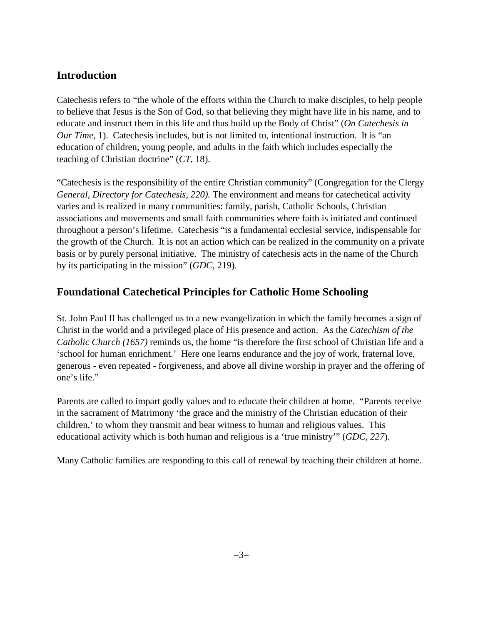### **Introduction**

Catechesis refers to "the whole of the efforts within the Church to make disciples, to help people to believe that Jesus is the Son of God, so that believing they might have life in his name, and to educate and instruct them in this life and thus build up the Body of Christ" (*On Catechesis in Our Time,* 1). Catechesis includes, but is not limited to, intentional instruction. It is "an education of children, young people, and adults in the faith which includes especially the teaching of Christian doctrine" (*CT,* 18).

"Catechesis is the responsibility of the entire Christian community" (Congregation for the Clergy *General, Directory for Catechesis, 220).* The environment and means for catechetical activity varies and is realized in many communities: family, parish, Catholic Schools, Christian associations and movements and small faith communities where faith is initiated and continued throughout a person's lifetime. Catechesis "is a fundamental ecclesial service, indispensable for the growth of the Church. It is not an action which can be realized in the community on a private basis or by purely personal initiative. The ministry of catechesis acts in the name of the Church by its participating in the mission" (*GDC,* 219).

## **Foundational Catechetical Principles for Catholic Home Schooling**

St. John Paul II has challenged us to a new evangelization in which the family becomes a sign of Christ in the world and a privileged place of His presence and action. As the *Catechism of the Catholic Church (1657)* reminds us, the home "is therefore the first school of Christian life and a 'school for human enrichment.' Here one learns endurance and the joy of work, fraternal love, generous - even repeated - forgiveness, and above all divine worship in prayer and the offering of one's life."

Parents are called to impart godly values and to educate their children at home. "Parents receive in the sacrament of Matrimony 'the grace and the ministry of the Christian education of their children,' to whom they transmit and bear witness to human and religious values. This educational activity which is both human and religious is a 'true ministry'" (*GDC, 227*).

Many Catholic families are responding to this call of renewal by teaching their children at home.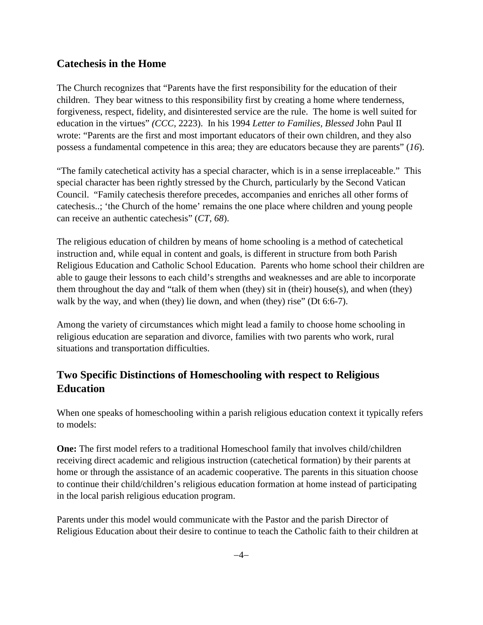#### **Catechesis in the Home**

The Church recognizes that "Parents have the first responsibility for the education of their children. They bear witness to this responsibility first by creating a home where tenderness, forgiveness, respect, fidelity, and disinterested service are the rule. The home is well suited for education in the virtues" *(CCC*, 2223). In his 1994 *Letter to Families, Blessed* John Paul II wrote: "Parents are the first and most important educators of their own children, and they also possess a fundamental competence in this area; they are educators because they are parents" (*16*).

"The family catechetical activity has a special character, which is in a sense irreplaceable." This special character has been rightly stressed by the Church, particularly by the Second Vatican Council. "Family catechesis therefore precedes, accompanies and enriches all other forms of catechesis..; 'the Church of the home' remains the one place where children and young people can receive an authentic catechesis" (*CT, 68*).

The religious education of children by means of home schooling is a method of catechetical instruction and, while equal in content and goals, is different in structure from both Parish Religious Education and Catholic School Education. Parents who home school their children are able to gauge their lessons to each child's strengths and weaknesses and are able to incorporate them throughout the day and "talk of them when (they) sit in (their) house(s), and when (they) walk by the way, and when (they) lie down, and when (they) rise" (Dt 6:6-7).

Among the variety of circumstances which might lead a family to choose home schooling in religious education are separation and divorce, families with two parents who work, rural situations and transportation difficulties.

### **Two Specific Distinctions of Homeschooling with respect to Religious Education**

When one speaks of homeschooling within a parish religious education context it typically refers to models:

**One:** The first model refers to a traditional Homeschool family that involves child/children receiving direct academic and religious instruction (catechetical formation) by their parents at home or through the assistance of an academic cooperative. The parents in this situation choose to continue their child/children's religious education formation at home instead of participating in the local parish religious education program.

Parents under this model would communicate with the Pastor and the parish Director of Religious Education about their desire to continue to teach the Catholic faith to their children at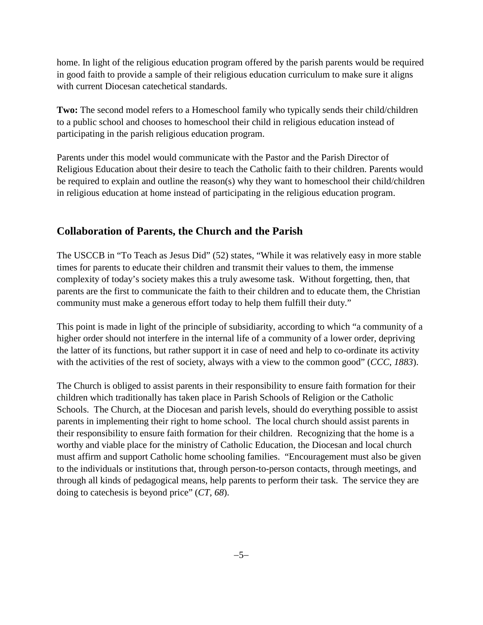home. In light of the religious education program offered by the parish parents would be required in good faith to provide a sample of their religious education curriculum to make sure it aligns with current Diocesan catechetical standards.

**Two:** The second model refers to a Homeschool family who typically sends their child/children to a public school and chooses to homeschool their child in religious education instead of participating in the parish religious education program.

Parents under this model would communicate with the Pastor and the Parish Director of Religious Education about their desire to teach the Catholic faith to their children. Parents would be required to explain and outline the reason(s) why they want to homeschool their child/children in religious education at home instead of participating in the religious education program.

## **Collaboration of Parents, the Church and the Parish**

The USCCB in "To Teach as Jesus Did" (52) states, "While it was relatively easy in more stable times for parents to educate their children and transmit their values to them, the immense complexity of today's society makes this a truly awesome task. Without forgetting, then, that parents are the first to communicate the faith to their children and to educate them, the Christian community must make a generous effort today to help them fulfill their duty."

This point is made in light of the principle of subsidiarity, according to which "a community of a higher order should not interfere in the internal life of a community of a lower order, depriving the latter of its functions, but rather support it in case of need and help to co-ordinate its activity with the activities of the rest of society, always with a view to the common good" (*CCC, 1883*).

The Church is obliged to assist parents in their responsibility to ensure faith formation for their children which traditionally has taken place in Parish Schools of Religion or the Catholic Schools. The Church, at the Diocesan and parish levels, should do everything possible to assist parents in implementing their right to home school. The local church should assist parents in their responsibility to ensure faith formation for their children. Recognizing that the home is a worthy and viable place for the ministry of Catholic Education, the Diocesan and local church must affirm and support Catholic home schooling families. "Encouragement must also be given to the individuals or institutions that, through person-to-person contacts, through meetings, and through all kinds of pedagogical means, help parents to perform their task. The service they are doing to catechesis is beyond price" (*CT, 68*).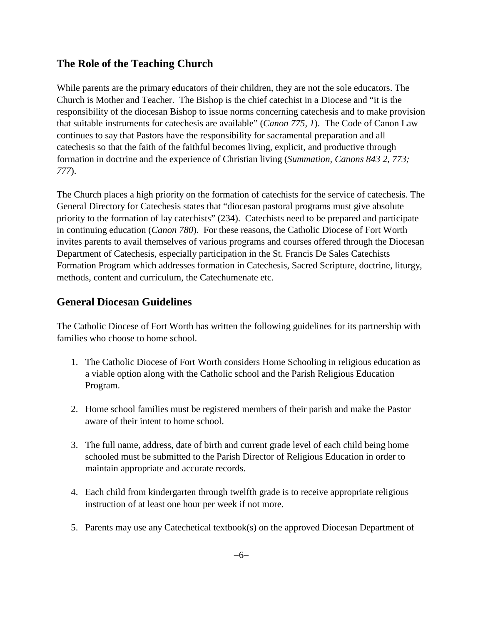### **The Role of the Teaching Church**

While parents are the primary educators of their children, they are not the sole educators. The Church is Mother and Teacher. The Bishop is the chief catechist in a Diocese and "it is the responsibility of the diocesan Bishop to issue norms concerning catechesis and to make provision that suitable instruments for catechesis are available" (*Canon 775, 1*). The Code of Canon Law continues to say that Pastors have the responsibility for sacramental preparation and all catechesis so that the faith of the faithful becomes living, explicit, and productive through formation in doctrine and the experience of Christian living (*Summation, Canons 843 2, 773; 777*).

The Church places a high priority on the formation of catechists for the service of catechesis. The General Directory for Catechesis states that "diocesan pastoral programs must give absolute priority to the formation of lay catechists" (234). Catechists need to be prepared and participate in continuing education (*Canon 780*). For these reasons, the Catholic Diocese of Fort Worth invites parents to avail themselves of various programs and courses offered through the Diocesan Department of Catechesis, especially participation in the St. Francis De Sales Catechists Formation Program which addresses formation in Catechesis, Sacred Scripture, doctrine, liturgy, methods, content and curriculum, the Catechumenate etc.

#### **General Diocesan Guidelines**

The Catholic Diocese of Fort Worth has written the following guidelines for its partnership with families who choose to home school.

- 1. The Catholic Diocese of Fort Worth considers Home Schooling in religious education as a viable option along with the Catholic school and the Parish Religious Education Program.
- 2. Home school families must be registered members of their parish and make the Pastor aware of their intent to home school.
- 3. The full name, address, date of birth and current grade level of each child being home schooled must be submitted to the Parish Director of Religious Education in order to maintain appropriate and accurate records.
- 4. Each child from kindergarten through twelfth grade is to receive appropriate religious instruction of at least one hour per week if not more.
- 5. Parents may use any Catechetical textbook(s) on the approved Diocesan Department of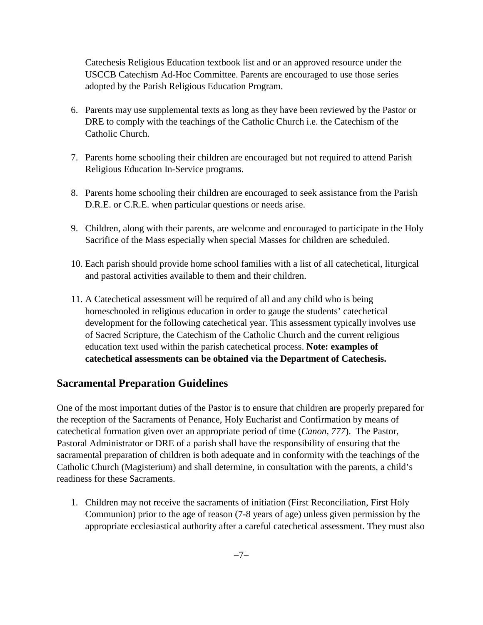Catechesis Religious Education textbook list and or an approved resource under the USCCB Catechism Ad-Hoc Committee. Parents are encouraged to use those series adopted by the Parish Religious Education Program.

- 6. Parents may use supplemental texts as long as they have been reviewed by the Pastor or DRE to comply with the teachings of the Catholic Church i.e. the Catechism of the Catholic Church.
- 7. Parents home schooling their children are encouraged but not required to attend Parish Religious Education In-Service programs.
- 8. Parents home schooling their children are encouraged to seek assistance from the Parish D.R.E. or C.R.E. when particular questions or needs arise.
- 9. Children, along with their parents, are welcome and encouraged to participate in the Holy Sacrifice of the Mass especially when special Masses for children are scheduled.
- 10. Each parish should provide home school families with a list of all catechetical, liturgical and pastoral activities available to them and their children.
- 11. A Catechetical assessment will be required of all and any child who is being homeschooled in religious education in order to gauge the students' catechetical development for the following catechetical year. This assessment typically involves use of Sacred Scripture, the Catechism of the Catholic Church and the current religious education text used within the parish catechetical process. **Note: examples of catechetical assessments can be obtained via the Department of Catechesis.**

#### **Sacramental Preparation Guidelines**

One of the most important duties of the Pastor is to ensure that children are properly prepared for the reception of the Sacraments of Penance, Holy Eucharist and Confirmation by means of catechetical formation given over an appropriate period of time (*Canon, 777*). The Pastor, Pastoral Administrator or DRE of a parish shall have the responsibility of ensuring that the sacramental preparation of children is both adequate and in conformity with the teachings of the Catholic Church (Magisterium) and shall determine, in consultation with the parents, a child's readiness for these Sacraments.

1. Children may not receive the sacraments of initiation (First Reconciliation, First Holy Communion) prior to the age of reason (7-8 years of age) unless given permission by the appropriate ecclesiastical authority after a careful catechetical assessment. They must also